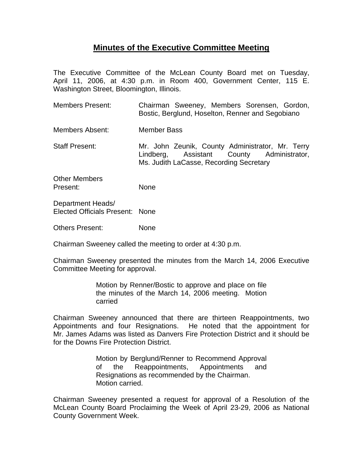## **Minutes of the Executive Committee Meeting**

The Executive Committee of the McLean County Board met on Tuesday, April 11, 2006, at 4:30 p.m. in Room 400, Government Center, 115 E. Washington Street, Bloomington, Illinois.

- Members Present: Chairman Sweeney, Members Sorensen, Gordon, Bostic, Berglund, Hoselton, Renner and Segobiano
- Members Absent: Member Bass
- Staff Present: Mr. John Zeunik, County Administrator, Mr. Terry Lindberg, Assistant County Administrator, Ms. Judith LaCasse, Recording Secretary

Other Members Present: None

Department Heads/ Elected Officials Present: None

Others Present: None

Chairman Sweeney called the meeting to order at 4:30 p.m.

Chairman Sweeney presented the minutes from the March 14, 2006 Executive Committee Meeting for approval.

> Motion by Renner/Bostic to approve and place on file the minutes of the March 14, 2006 meeting. Motion carried

Chairman Sweeney announced that there are thirteen Reappointments, two Appointments and four Resignations. He noted that the appointment for Mr. James Adams was listed as Danvers Fire Protection District and it should be for the Downs Fire Protection District.

> Motion by Berglund/Renner to Recommend Approval of the Reappointments, Appointments and Resignations as recommended by the Chairman. Motion carried.

Chairman Sweeney presented a request for approval of a Resolution of the McLean County Board Proclaiming the Week of April 23-29, 2006 as National County Government Week.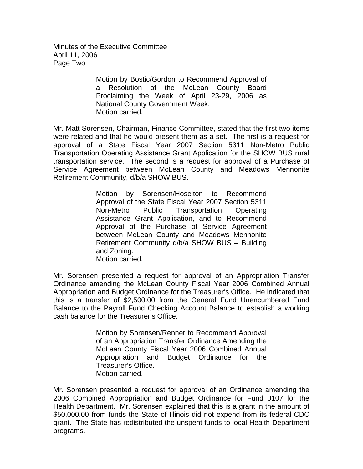Minutes of the Executive Committee April 11, 2006 Page Two

> Motion by Bostic/Gordon to Recommend Approval of a Resolution of the McLean County Board Proclaiming the Week of April 23-29, 2006 as National County Government Week. Motion carried.

Mr. Matt Sorensen, Chairman, Finance Committee, stated that the first two items were related and that he would present them as a set. The first is a request for approval of a State Fiscal Year 2007 Section 5311 Non-Metro Public Transportation Operating Assistance Grant Application for the SHOW BUS rural transportation service. The second is a request for approval of a Purchase of Service Agreement between McLean County and Meadows Mennonite Retirement Community, d/b/a SHOW BUS.

> Motion by Sorensen/Hoselton to Recommend Approval of the State Fiscal Year 2007 Section 5311 Non-Metro Public Transportation Operating Assistance Grant Application, and to Recommend Approval of the Purchase of Service Agreement between McLean County and Meadows Mennonite Retirement Community d/b/a SHOW BUS – Building and Zoning. Motion carried.

Mr. Sorensen presented a request for approval of an Appropriation Transfer Ordinance amending the McLean County Fiscal Year 2006 Combined Annual Appropriation and Budget Ordinance for the Treasurer's Office. He indicated that this is a transfer of \$2,500.00 from the General Fund Unencumbered Fund Balance to the Payroll Fund Checking Account Balance to establish a working cash balance for the Treasurer's Office.

> Motion by Sorensen/Renner to Recommend Approval of an Appropriation Transfer Ordinance Amending the McLean County Fiscal Year 2006 Combined Annual Appropriation and Budget Ordinance for the Treasurer's Office. Motion carried.

Mr. Sorensen presented a request for approval of an Ordinance amending the 2006 Combined Appropriation and Budget Ordinance for Fund 0107 for the Health Department. Mr. Sorensen explained that this is a grant in the amount of \$50,000.00 from funds the State of Illinois did not expend from its federal CDC grant. The State has redistributed the unspent funds to local Health Department programs.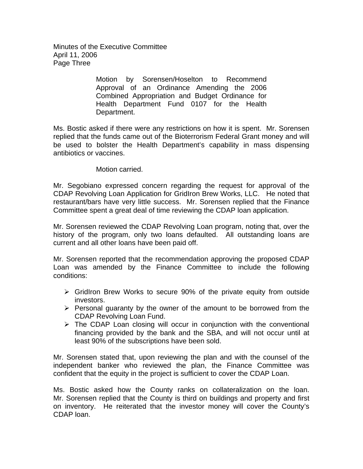Minutes of the Executive Committee April 11, 2006 Page Three

> Motion by Sorensen/Hoselton to Recommend Approval of an Ordinance Amending the 2006 Combined Appropriation and Budget Ordinance for Health Department Fund 0107 for the Health Department.

Ms. Bostic asked if there were any restrictions on how it is spent. Mr. Sorensen replied that the funds came out of the Bioterrorism Federal Grant money and will be used to bolster the Health Department's capability in mass dispensing antibiotics or vaccines.

## Motion carried.

Mr. Segobiano expressed concern regarding the request for approval of the CDAP Revolving Loan Application for GridIron Brew Works, LLC. He noted that restaurant/bars have very little success. Mr. Sorensen replied that the Finance Committee spent a great deal of time reviewing the CDAP loan application.

Mr. Sorensen reviewed the CDAP Revolving Loan program, noting that, over the history of the program, only two loans defaulted. All outstanding loans are current and all other loans have been paid off.

Mr. Sorensen reported that the recommendation approving the proposed CDAP Loan was amended by the Finance Committee to include the following conditions:

- $\triangleright$  GridIron Brew Works to secure 90% of the private equity from outside investors.
- $\triangleright$  Personal guaranty by the owner of the amount to be borrowed from the CDAP Revolving Loan Fund.
- $\triangleright$  The CDAP Loan closing will occur in conjunction with the conventional financing provided by the bank and the SBA, and will not occur until at least 90% of the subscriptions have been sold.

Mr. Sorensen stated that, upon reviewing the plan and with the counsel of the independent banker who reviewed the plan, the Finance Committee was confident that the equity in the project is sufficient to cover the CDAP Loan.

Ms. Bostic asked how the County ranks on collateralization on the loan. Mr. Sorensen replied that the County is third on buildings and property and first on inventory. He reiterated that the investor money will cover the County's CDAP loan.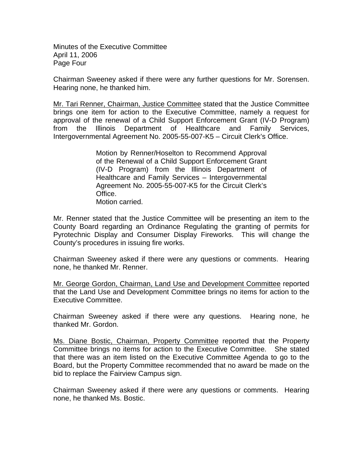Minutes of the Executive Committee April 11, 2006 Page Four

Chairman Sweeney asked if there were any further questions for Mr. Sorensen. Hearing none, he thanked him.

Mr. Tari Renner, Chairman, Justice Committee stated that the Justice Committee brings one item for action to the Executive Committee, namely a request for approval of the renewal of a Child Support Enforcement Grant (IV-D Program) from the Illinois Department of Healthcare and Family Services, Intergovernmental Agreement No. 2005-55-007-K5 – Circuit Clerk's Office.

> Motion by Renner/Hoselton to Recommend Approval of the Renewal of a Child Support Enforcement Grant (IV-D Program) from the Illinois Department of Healthcare and Family Services – Intergovernmental Agreement No. 2005-55-007-K5 for the Circuit Clerk's Office. Motion carried.

Mr. Renner stated that the Justice Committee will be presenting an item to the County Board regarding an Ordinance Regulating the granting of permits for Pyrotechnic Display and Consumer Display Fireworks. This will change the County's procedures in issuing fire works.

Chairman Sweeney asked if there were any questions or comments. Hearing none, he thanked Mr. Renner.

Mr. George Gordon, Chairman, Land Use and Development Committee reported that the Land Use and Development Committee brings no items for action to the Executive Committee.

Chairman Sweeney asked if there were any questions. Hearing none, he thanked Mr. Gordon.

Ms. Diane Bostic, Chairman, Property Committee reported that the Property Committee brings no items for action to the Executive Committee. She stated that there was an item listed on the Executive Committee Agenda to go to the Board, but the Property Committee recommended that no award be made on the bid to replace the Fairview Campus sign.

Chairman Sweeney asked if there were any questions or comments. Hearing none, he thanked Ms. Bostic.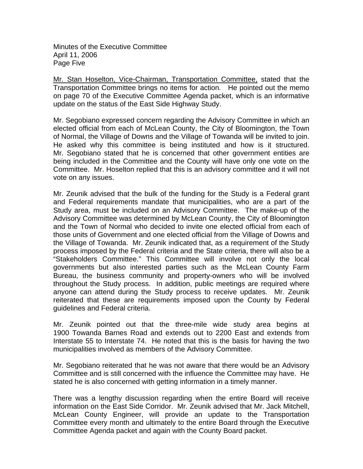Minutes of the Executive Committee April 11, 2006 Page Five

Mr. Stan Hoselton, Vice-Chairman, Transportation Committee, stated that the Transportation Committee brings no items for action. He pointed out the memo on page 70 of the Executive Committee Agenda packet, which is an informative update on the status of the East Side Highway Study.

Mr. Segobiano expressed concern regarding the Advisory Committee in which an elected official from each of McLean County, the City of Bloomington, the Town of Normal, the Village of Downs and the Village of Towanda will be invited to join. He asked why this committee is being instituted and how is it structured. Mr. Segobiano stated that he is concerned that other government entities are being included in the Committee and the County will have only one vote on the Committee. Mr. Hoselton replied that this is an advisory committee and it will not vote on any issues.

Mr. Zeunik advised that the bulk of the funding for the Study is a Federal grant and Federal requirements mandate that municipalities, who are a part of the Study area, must be included on an Advisory Committee. The make-up of the Advisory Committee was determined by McLean County, the City of Bloomington and the Town of Normal who decided to invite one elected official from each of those units of Government and one elected official from the Village of Downs and the Village of Towanda. Mr. Zeunik indicated that, as a requirement of the Study process imposed by the Federal criteria and the State criteria, there will also be a "Stakeholders Committee." This Committee will involve not only the local governments but also interested parties such as the McLean County Farm Bureau, the business community and property-owners who will be involved throughout the Study process. In addition, public meetings are required where anyone can attend during the Study process to receive updates. Mr. Zeunik reiterated that these are requirements imposed upon the County by Federal guidelines and Federal criteria.

Mr. Zeunik pointed out that the three-mile wide study area begins at 1900 Towanda Barnes Road and extends out to 2200 East and extends from Interstate 55 to Interstate 74. He noted that this is the basis for having the two municipalities involved as members of the Advisory Committee.

Mr. Segobiano reiterated that he was not aware that there would be an Advisory Committee and is still concerned with the influence the Committee may have. He stated he is also concerned with getting information in a timely manner.

There was a lengthy discussion regarding when the entire Board will receive information on the East Side Corridor. Mr. Zeunik advised that Mr. Jack Mitchell, McLean County Engineer, will provide an update to the Transportation Committee every month and ultimately to the entire Board through the Executive Committee Agenda packet and again with the County Board packet.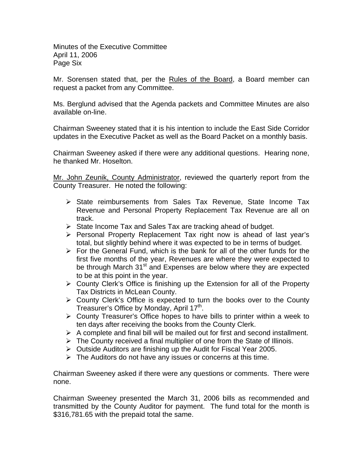Minutes of the Executive Committee April 11, 2006 Page Six

Mr. Sorensen stated that, per the Rules of the Board, a Board member can request a packet from any Committee.

Ms. Berglund advised that the Agenda packets and Committee Minutes are also available on-line.

Chairman Sweeney stated that it is his intention to include the East Side Corridor updates in the Executive Packet as well as the Board Packet on a monthly basis.

Chairman Sweeney asked if there were any additional questions. Hearing none, he thanked Mr. Hoselton.

Mr. John Zeunik, County Administrator, reviewed the quarterly report from the County Treasurer. He noted the following:

- ¾ State reimbursements from Sales Tax Revenue, State Income Tax Revenue and Personal Property Replacement Tax Revenue are all on track.
- $\triangleright$  State Income Tax and Sales Tax are tracking ahead of budget.
- ¾ Personal Property Replacement Tax right now is ahead of last year's total, but slightly behind where it was expected to be in terms of budget.
- $\triangleright$  For the General Fund, which is the bank for all of the other funds for the first five months of the year, Revenues are where they were expected to be through March 31<sup>st</sup> and Expenses are below where they are expected to be at this point in the year.
- $\triangleright$  County Clerk's Office is finishing up the Extension for all of the Property Tax Districts in McLean County.
- $\triangleright$  County Clerk's Office is expected to turn the books over to the County Treasurer's Office by Monday, April 17<sup>th</sup>.
- $\triangleright$  County Treasurer's Office hopes to have bills to printer within a week to ten days after receiving the books from the County Clerk.
- $\triangleright$  A complete and final bill will be mailed out for first and second installment.
- $\triangleright$  The County received a final multiplier of one from the State of Illinois.
- $\triangleright$  Outside Auditors are finishing up the Audit for Fiscal Year 2005.
- $\triangleright$  The Auditors do not have any issues or concerns at this time.

Chairman Sweeney asked if there were any questions or comments. There were none.

Chairman Sweeney presented the March 31, 2006 bills as recommended and transmitted by the County Auditor for payment. The fund total for the month is \$316,781.65 with the prepaid total the same.